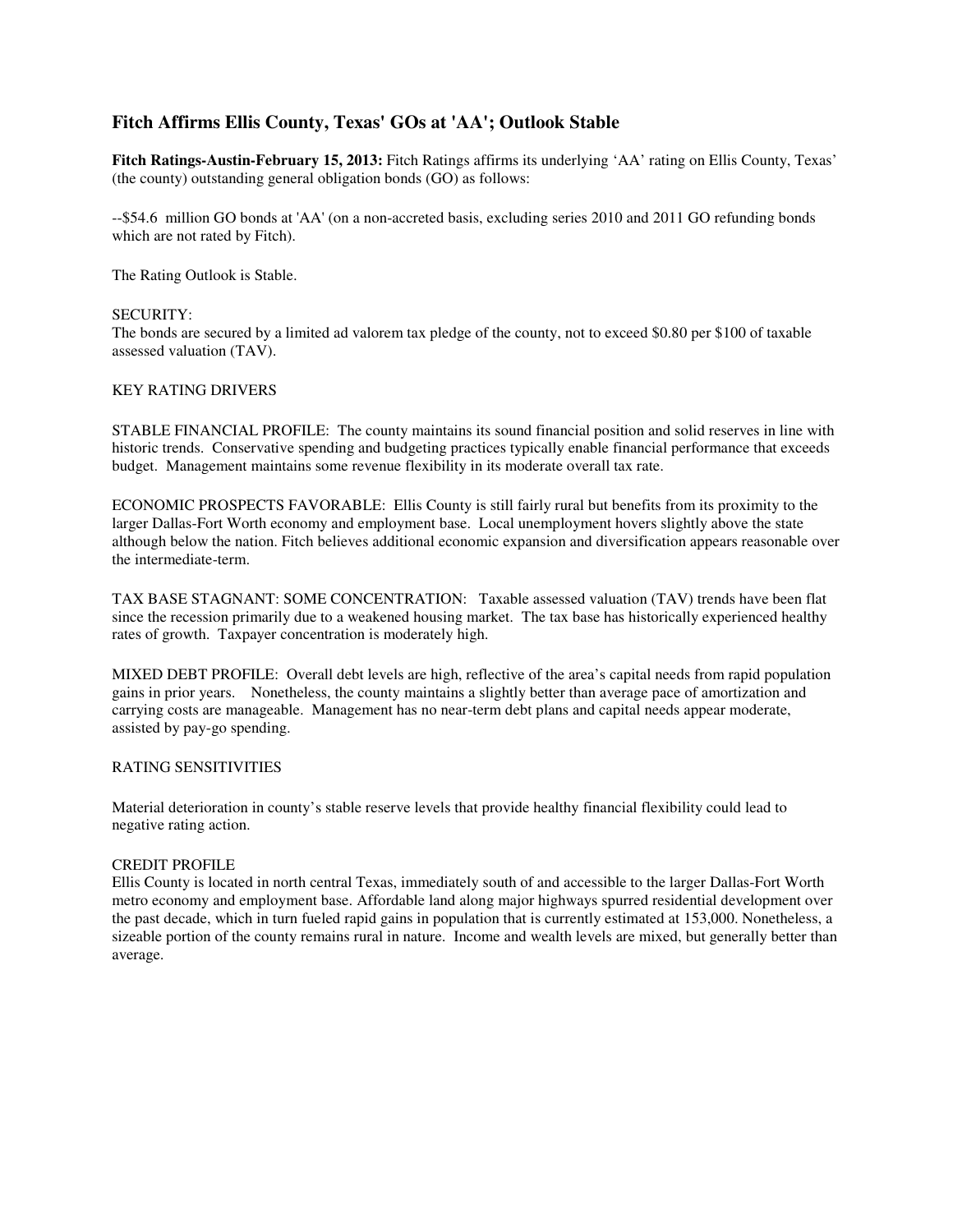# **Fitch Affirms Ellis County, Texas' GOs at 'AA'; Outlook Stable**

**Fitch Ratings-Austin-February 15, 2013:** Fitch Ratings affirms its underlying 'AA' rating on Ellis County, Texas' (the county) outstanding general obligation bonds (GO) as follows:

--\$54.6 million GO bonds at 'AA' (on a non-accreted basis, excluding series 2010 and 2011 GO refunding bonds which are not rated by Fitch).

The Rating Outlook is Stable.

### SECURITY:

The bonds are secured by a limited ad valorem tax pledge of the county, not to exceed \$0.80 per \$100 of taxable assessed valuation (TAV).

### KEY RATING DRIVERS

STABLE FINANCIAL PROFILE: The county maintains its sound financial position and solid reserves in line with historic trends. Conservative spending and budgeting practices typically enable financial performance that exceeds budget. Management maintains some revenue flexibility in its moderate overall tax rate.

ECONOMIC PROSPECTS FAVORABLE: Ellis County is still fairly rural but benefits from its proximity to the larger Dallas-Fort Worth economy and employment base. Local unemployment hovers slightly above the state although below the nation. Fitch believes additional economic expansion and diversification appears reasonable over the intermediate-term.

TAX BASE STAGNANT: SOME CONCENTRATION: Taxable assessed valuation (TAV) trends have been flat since the recession primarily due to a weakened housing market. The tax base has historically experienced healthy rates of growth. Taxpayer concentration is moderately high.

MIXED DEBT PROFILE: Overall debt levels are high, reflective of the area's capital needs from rapid population gains in prior years. Nonetheless, the county maintains a slightly better than average pace of amortization and carrying costs are manageable. Management has no near-term debt plans and capital needs appear moderate, assisted by pay-go spending.

#### RATING SENSITIVITIES

Material deterioration in county's stable reserve levels that provide healthy financial flexibility could lead to negative rating action.

#### CREDIT PROFILE

Ellis County is located in north central Texas, immediately south of and accessible to the larger Dallas-Fort Worth metro economy and employment base. Affordable land along major highways spurred residential development over the past decade, which in turn fueled rapid gains in population that is currently estimated at 153,000. Nonetheless, a sizeable portion of the county remains rural in nature. Income and wealth levels are mixed, but generally better than average.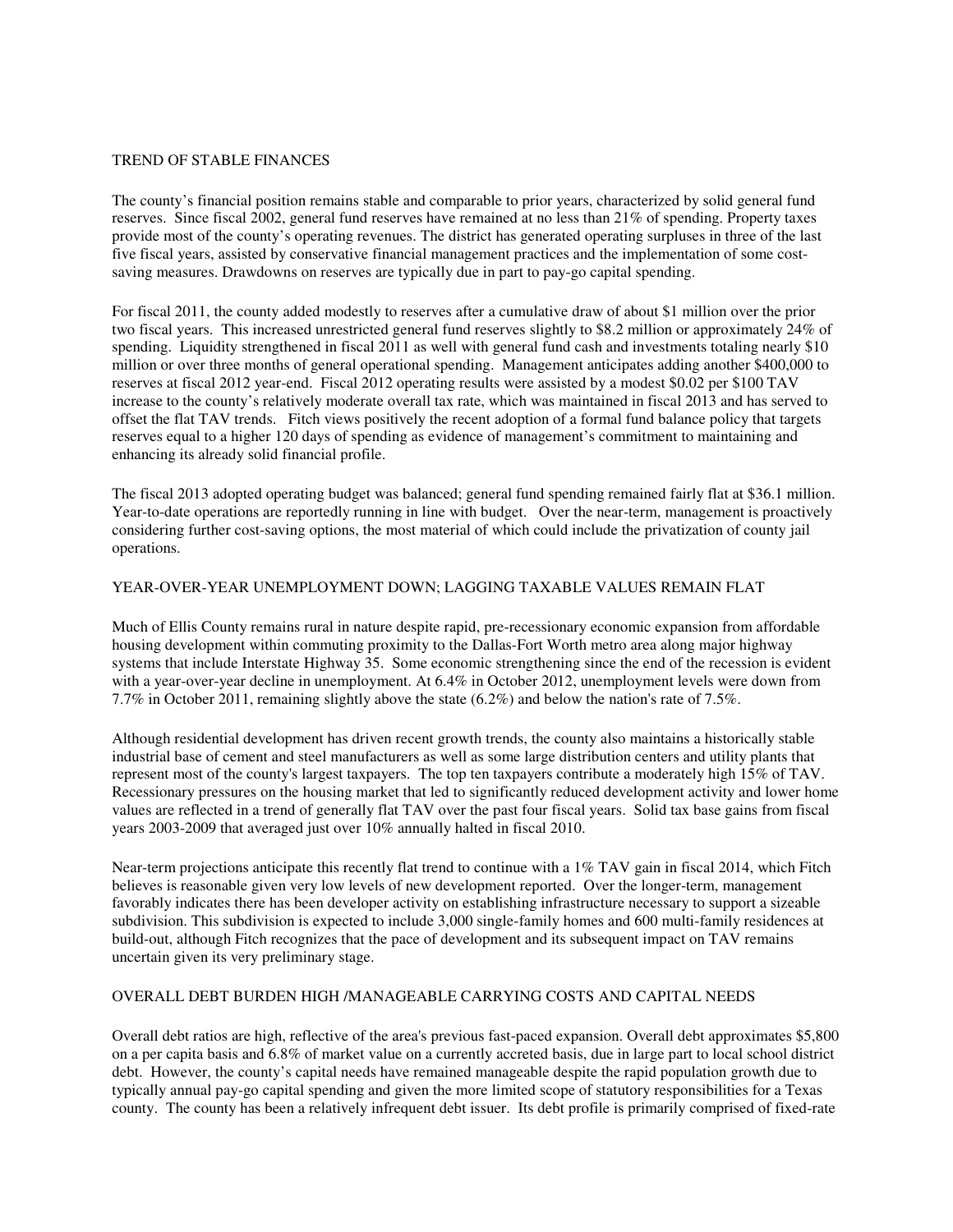## TREND OF STABLE FINANCES

The county's financial position remains stable and comparable to prior years, characterized by solid general fund reserves. Since fiscal 2002, general fund reserves have remained at no less than 21% of spending. Property taxes provide most of the county's operating revenues. The district has generated operating surpluses in three of the last five fiscal years, assisted by conservative financial management practices and the implementation of some costsaving measures. Drawdowns on reserves are typically due in part to pay-go capital spending.

For fiscal 2011, the county added modestly to reserves after a cumulative draw of about \$1 million over the prior two fiscal years. This increased unrestricted general fund reserves slightly to \$8.2 million or approximately 24% of spending. Liquidity strengthened in fiscal 2011 as well with general fund cash and investments totaling nearly \$10 million or over three months of general operational spending. Management anticipates adding another \$400,000 to reserves at fiscal 2012 year-end. Fiscal 2012 operating results were assisted by a modest \$0.02 per \$100 TAV increase to the county's relatively moderate overall tax rate, which was maintained in fiscal 2013 and has served to offset the flat TAV trends. Fitch views positively the recent adoption of a formal fund balance policy that targets reserves equal to a higher 120 days of spending as evidence of management's commitment to maintaining and enhancing its already solid financial profile.

The fiscal 2013 adopted operating budget was balanced; general fund spending remained fairly flat at \$36.1 million. Year-to-date operations are reportedly running in line with budget. Over the near-term, management is proactively considering further cost-saving options, the most material of which could include the privatization of county jail operations.

# YEAR-OVER-YEAR UNEMPLOYMENT DOWN; LAGGING TAXABLE VALUES REMAIN FLAT

Much of Ellis County remains rural in nature despite rapid, pre-recessionary economic expansion from affordable housing development within commuting proximity to the Dallas-Fort Worth metro area along major highway systems that include Interstate Highway 35. Some economic strengthening since the end of the recession is evident with a year-over-year decline in unemployment. At 6.4% in October 2012, unemployment levels were down from 7.7% in October 2011, remaining slightly above the state (6.2%) and below the nation's rate of 7.5%.

Although residential development has driven recent growth trends, the county also maintains a historically stable industrial base of cement and steel manufacturers as well as some large distribution centers and utility plants that represent most of the county's largest taxpayers. The top ten taxpayers contribute a moderately high 15% of TAV. Recessionary pressures on the housing market that led to significantly reduced development activity and lower home values are reflected in a trend of generally flat TAV over the past four fiscal years. Solid tax base gains from fiscal years 2003-2009 that averaged just over 10% annually halted in fiscal 2010.

Near-term projections anticipate this recently flat trend to continue with a 1% TAV gain in fiscal 2014, which Fitch believes is reasonable given very low levels of new development reported. Over the longer-term, management favorably indicates there has been developer activity on establishing infrastructure necessary to support a sizeable subdivision. This subdivision is expected to include 3,000 single-family homes and 600 multi-family residences at build-out, although Fitch recognizes that the pace of development and its subsequent impact on TAV remains uncertain given its very preliminary stage.

### OVERALL DEBT BURDEN HIGH /MANAGEABLE CARRYING COSTS AND CAPITAL NEEDS

Overall debt ratios are high, reflective of the area's previous fast-paced expansion. Overall debt approximates \$5,800 on a per capita basis and 6.8% of market value on a currently accreted basis, due in large part to local school district debt. However, the county's capital needs have remained manageable despite the rapid population growth due to typically annual pay-go capital spending and given the more limited scope of statutory responsibilities for a Texas county. The county has been a relatively infrequent debt issuer. Its debt profile is primarily comprised of fixed-rate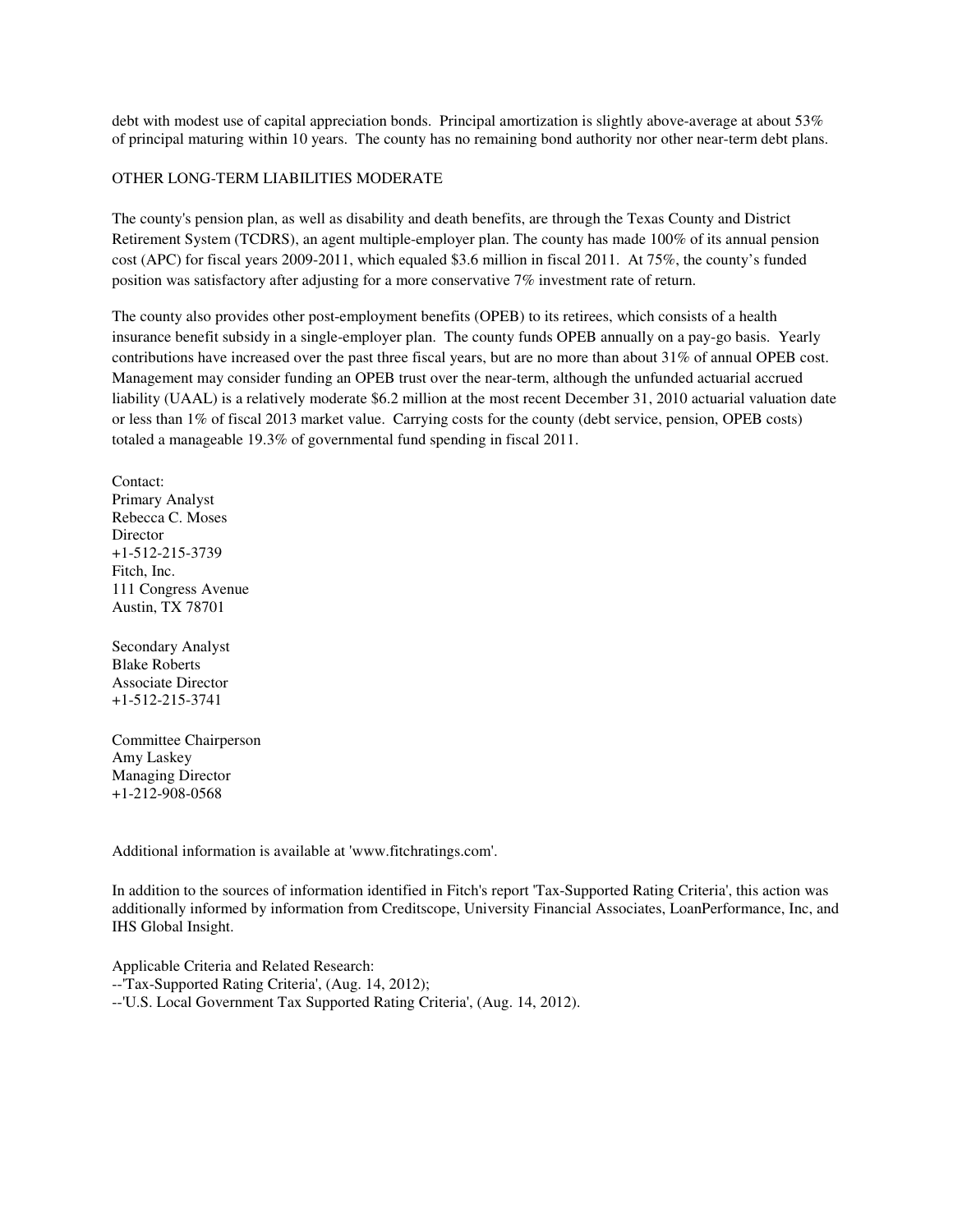debt with modest use of capital appreciation bonds. Principal amortization is slightly above-average at about 53% of principal maturing within 10 years. The county has no remaining bond authority nor other near-term debt plans.

# OTHER LONG-TERM LIABILITIES MODERATE

The county's pension plan, as well as disability and death benefits, are through the Texas County and District Retirement System (TCDRS), an agent multiple-employer plan. The county has made 100% of its annual pension cost (APC) for fiscal years 2009-2011, which equaled \$3.6 million in fiscal 2011. At 75%, the county's funded position was satisfactory after adjusting for a more conservative 7% investment rate of return.

The county also provides other post-employment benefits (OPEB) to its retirees, which consists of a health insurance benefit subsidy in a single-employer plan. The county funds OPEB annually on a pay-go basis. Yearly contributions have increased over the past three fiscal years, but are no more than about 31% of annual OPEB cost. Management may consider funding an OPEB trust over the near-term, although the unfunded actuarial accrued liability (UAAL) is a relatively moderate \$6.2 million at the most recent December 31, 2010 actuarial valuation date or less than 1% of fiscal 2013 market value. Carrying costs for the county (debt service, pension, OPEB costs) totaled a manageable 19.3% of governmental fund spending in fiscal 2011.

Contact: Primary Analyst Rebecca C. Moses Director +1-512-215-3739 Fitch, Inc. 111 Congress Avenue Austin, TX 78701

Secondary Analyst Blake Roberts Associate Director +1-512-215-3741

Committee Chairperson Amy Laskey Managing Director +1-212-908-0568

Additional information is available at 'www.fitchratings.com'.

In addition to the sources of information identified in Fitch's report 'Tax-Supported Rating Criteria', this action was additionally informed by information from Creditscope, University Financial Associates, LoanPerformance, Inc, and IHS Global Insight.

Applicable Criteria and Related Research:

--'Tax-Supported Rating Criteria', (Aug. 14, 2012);

--'U.S. Local Government Tax Supported Rating Criteria', (Aug. 14, 2012).